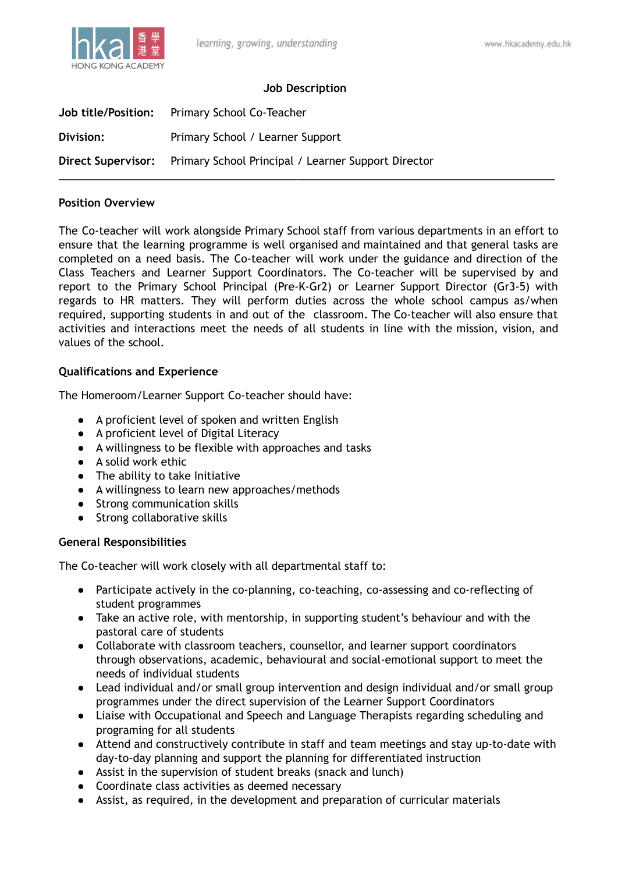

# **Job Description**

| <b>Job title/Position:</b> | Primary School Co-Teacher                                              |
|----------------------------|------------------------------------------------------------------------|
| Division:                  | Primary School / Learner Support                                       |
|                            | Direct Supervisor: Primary School Principal / Learner Support Director |

#### **Position Overview**

The Co-teacher will work alongside Primary School staff from various departments in an effort to ensure that the learning programme is well organised and maintained and that general tasks are completed on a need basis. The Co-teacher will work under the guidance and direction of the Class Teachers and Learner Support Coordinators. The Co-teacher will be supervised by and report to the Primary School Principal (Pre-K-Gr2) or Learner Support Director (Gr3-5) with regards to HR matters. They will perform duties across the whole school campus as/when required, supporting students in and out of the classroom. The Co-teacher will also ensure that activities and interactions meet the needs of all students in line with the mission, vision, and values of the school.

### **Qualifications and Experience**

The Homeroom/Learner Support Co-teacher should have:

- A proficient level of spoken and written English
- A proficient level of Digital Literacy
- A willingness to be flexible with approaches and tasks
- A solid work ethic
- The ability to take Initiative
- A willingness to learn new approaches/methods
- Strong communication skills
- Strong collaborative skills

### **General Responsibilities**

The Co-teacher will work closely with all departmental staff to:

- Participate actively in the co-planning, co-teaching, co-assessing and co-reflecting of student programmes
- Take an active role, with mentorship, in supporting student's behaviour and with the pastoral care of students
- Collaborate with classroom teachers, counsellor, and learner support coordinators through observations, academic, behavioural and social-emotional support to meet the needs of individual students
- Lead individual and/or small group intervention and design individual and/or small group programmes under the direct supervision of the Learner Support Coordinators
- Liaise with Occupational and Speech and Language Therapists regarding scheduling and programing for all students
- Attend and constructively contribute in staff and team meetings and stay up-to-date with day-to-day planning and support the planning for differentiated instruction
- Assist in the supervision of student breaks (snack and lunch)
- Coordinate class activities as deemed necessary
- Assist, as required, in the development and preparation of curricular materials